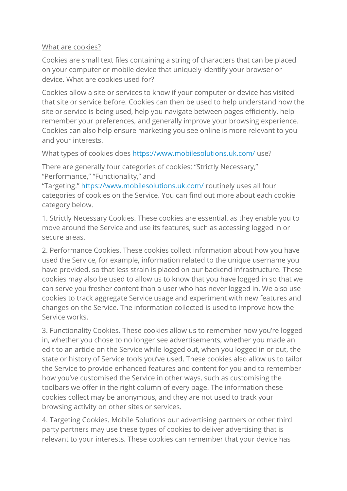## What are cookies?

Cookies are small text files containing a string of characters that can be placed on your computer or mobile device that uniquely identify your browser or device. What are cookies used for?

Cookies allow a site or services to know if your computer or device has visited that site or service before. Cookies can then be used to help understand how the site or service is being used, help you navigate between pages efficiently, help remember your preferences, and generally improve your browsing experience. Cookies can also help ensure marketing you see online is more relevant to you and your interests.

# What types of cookies does <https://www.mobilesolutions.uk.com/> use?

There are generally four categories of cookies: "Strictly Necessary," "Performance," "Functionality," and

"Targeting." <https://www.mobilesolutions.uk.com/> routinely uses all four categories of cookies on the Service. You can find out more about each cookie category below.

1. Strictly Necessary Cookies. These cookies are essential, as they enable you to move around the Service and use its features, such as accessing logged in or secure areas.

2. Performance Cookies. These cookies collect information about how you have used the Service, for example, information related to the unique username you have provided, so that less strain is placed on our backend infrastructure. These cookies may also be used to allow us to know that you have logged in so that we can serve you fresher content than a user who has never logged in. We also use cookies to track aggregate Service usage and experiment with new features and changes on the Service. The information collected is used to improve how the Service works.

3. Functionality Cookies. These cookies allow us to remember how you're logged in, whether you chose to no longer see advertisements, whether you made an edit to an article on the Service while logged out, when you logged in or out, the state or history of Service tools you've used. These cookies also allow us to tailor the Service to provide enhanced features and content for you and to remember how you've customised the Service in other ways, such as customising the toolbars we offer in the right column of every page. The information these cookies collect may be anonymous, and they are not used to track your browsing activity on other sites or services.

4. Targeting Cookies. Mobile Solutions our advertising partners or other third party partners may use these types of cookies to deliver advertising that is relevant to your interests. These cookies can remember that your device has